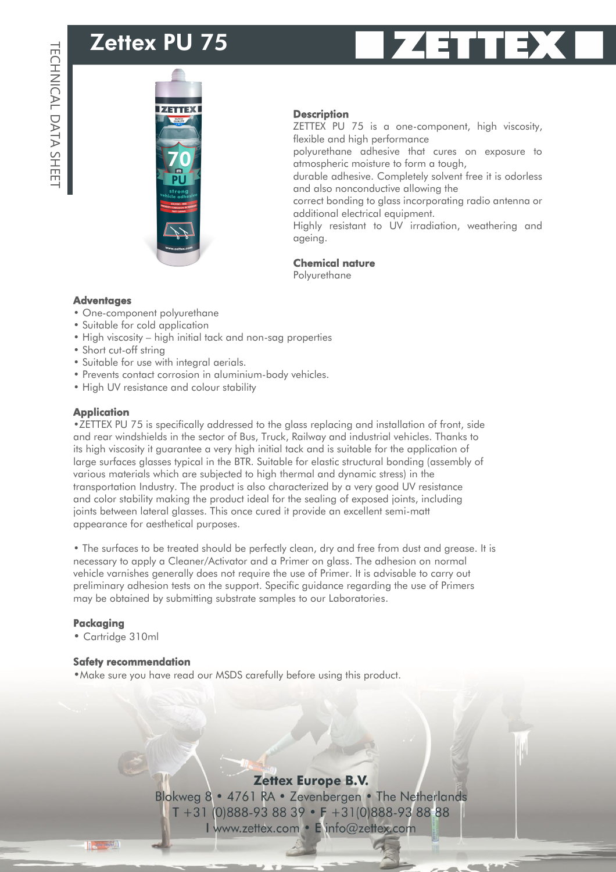# Zettex PU 75





#### **Description**

ZETTEX PU 75 is a one-component, high viscosity, flexible and high performance

polyurethane adhesive that cures on exposure to atmospheric moisture to form a tough,

durable adhesive. Completely solvent free it is odorless and also nonconductive allowing the

correct bonding to glass incorporating radio antenna or additional electrical equipment.

Highly resistant to UV irradiation, weathering and ageing.

### Chemical nature

Polyurethane

#### **Adventages**

- One-component polyurethane
- Suitable for cold application
- High viscosity high initial tack and non-sag properties
- Short cut-off string
- Suitable for use with integral aerials.
- Prevents contact corrosion in aluminium-body vehicles.
- High UV resistance and colour stability

#### **Application**

•ZETTEX PU 75 is specifically addressed to the glass replacing and installation of front, side and rear windshields in the sector of Bus, Truck, Railway and industrial vehicles. Thanks to its high viscosity it guarantee a very high initial tack and is suitable for the application of large surfaces glasses typical in the BTR. Suitable for elastic structural bonding (assembly of various materials which are subjected to high thermal and dynamic stress) in the transportation Industry. The product is also characterized by a very good UV resistance and color stability making the product ideal for the sealing of exposed joints, including joints between lateral glasses. This once cured it provide an excellent semi-matt appearance for aesthetical purposes.

• The surfaces to be treated should be perfectly clean, dry and free from dust and grease. It is necessary to apply a Cleaner/Activator and a Primer on glass. The adhesion on normal vehicle varnishes generally does not require the use of Primer. It is advisable to carry out preliminary adhesion tests on the support. Specific guidance regarding the use of Primers may be obtained by submitting substrate samples to our Laboratories.

#### Packaging

• Cartridge 310ml

#### Safety recommendation

•Make sure you have read our MSDS carefully before using this product.

## **Zettex Europe B.V.**

Blokweg 8 • 4761 RA • Zevenbergen • The Netherlands T +31 (0)888-93 88 39 • F +31(0)888-93 88 88 I www.zettex.com · E info@zettex.com